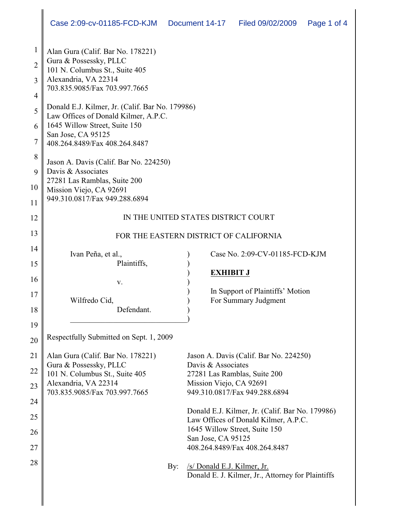| $\mathbf{1}$   | Alan Gura (Calif. Bar No. 178221)                                                                                            |                                                                                         |  |  |  |  |  |
|----------------|------------------------------------------------------------------------------------------------------------------------------|-----------------------------------------------------------------------------------------|--|--|--|--|--|
| $\overline{2}$ | Gura & Possessky, PLLC<br>101 N. Columbus St., Suite 405                                                                     |                                                                                         |  |  |  |  |  |
| 3              | Alexandria, VA 22314                                                                                                         |                                                                                         |  |  |  |  |  |
| $\overline{4}$ | 703.835.9085/Fax 703.997.7665                                                                                                |                                                                                         |  |  |  |  |  |
| 5              | Donald E.J. Kilmer, Jr. (Calif. Bar No. 179986)                                                                              |                                                                                         |  |  |  |  |  |
| 6              | Law Offices of Donald Kilmer, A.P.C.<br>1645 Willow Street, Suite 150<br>San Jose, CA 95125<br>408.264.8489/Fax 408.264.8487 |                                                                                         |  |  |  |  |  |
| $\overline{7}$ |                                                                                                                              |                                                                                         |  |  |  |  |  |
| 8              |                                                                                                                              |                                                                                         |  |  |  |  |  |
| 9              | Jason A. Davis (Calif. Bar No. 224250)<br>Davis & Associates                                                                 |                                                                                         |  |  |  |  |  |
| 10             | 27281 Las Ramblas, Suite 200<br>Mission Viejo, CA 92691<br>949.310.0817/Fax 949.288.6894                                     |                                                                                         |  |  |  |  |  |
| 11             |                                                                                                                              |                                                                                         |  |  |  |  |  |
| 12             | IN THE UNITED STATES DISTRICT COURT                                                                                          |                                                                                         |  |  |  |  |  |
| 13             | FOR THE EASTERN DISTRICT OF CALIFORNIA                                                                                       |                                                                                         |  |  |  |  |  |
| 14             |                                                                                                                              |                                                                                         |  |  |  |  |  |
| 15             | Ivan Peña, et al.,<br>Plaintiffs,                                                                                            | Case No. 2:09-CV-01185-FCD-KJM                                                          |  |  |  |  |  |
| 16             |                                                                                                                              | <b>EXHIBIT J</b>                                                                        |  |  |  |  |  |
| 17             | V.                                                                                                                           | In Support of Plaintiffs' Motion                                                        |  |  |  |  |  |
|                | Wilfredo Cid,<br>Defendant.                                                                                                  | For Summary Judgment                                                                    |  |  |  |  |  |
| 18             |                                                                                                                              |                                                                                         |  |  |  |  |  |
| 19             | Respectfully Submitted on Sept. 1, 2009                                                                                      |                                                                                         |  |  |  |  |  |
| 20             |                                                                                                                              |                                                                                         |  |  |  |  |  |
| 21             | Alan Gura (Calif. Bar No. 178221)<br>Gura & Possessky, PLLC                                                                  | Jason A. Davis (Calif. Bar No. 224250)<br>Davis & Associates                            |  |  |  |  |  |
| 22             | 101 N. Columbus St., Suite 405                                                                                               | 27281 Las Ramblas, Suite 200                                                            |  |  |  |  |  |
| 23             | Alexandria, VA 22314<br>703.835.9085/Fax 703.997.7665                                                                        | Mission Viejo, CA 92691<br>949.310.0817/Fax 949.288.6894                                |  |  |  |  |  |
| 24             |                                                                                                                              |                                                                                         |  |  |  |  |  |
| 25             |                                                                                                                              | Donald E.J. Kilmer, Jr. (Calif. Bar No. 179986)<br>Law Offices of Donald Kilmer, A.P.C. |  |  |  |  |  |
| 26             |                                                                                                                              | 1645 Willow Street, Suite 150                                                           |  |  |  |  |  |
| 27             |                                                                                                                              | San Jose, CA 95125<br>408.264.8489/Fax 408.264.8487                                     |  |  |  |  |  |
| 28             |                                                                                                                              |                                                                                         |  |  |  |  |  |
|                | By:                                                                                                                          | /s/ Donald E.J. Kilmer, Jr.<br>Donald E. J. Kilmer, Jr., Attorney for Plaintiffs        |  |  |  |  |  |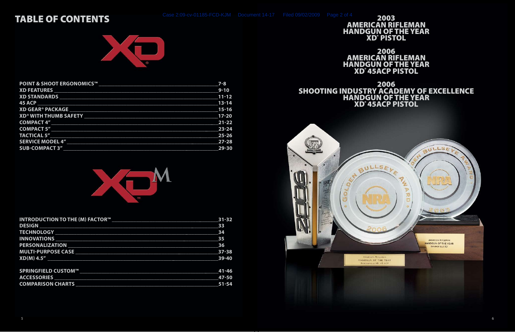#### TABLE OF CONTENTS



| <b>POINT &amp; SHOOT ERGONOMICS™</b>                                                                           | $7 - 8$                   |
|----------------------------------------------------------------------------------------------------------------|---------------------------|
|                                                                                                                | $9 - 10$                  |
|                                                                                                                |                           |
|                                                                                                                | $13 - 14$                 |
| <b>XD GEAR<sup>®</sup> PACKAGE</b>                                                                             | 15-16                     |
| XD® WITH THUMB SAFETY NAMES AND THE RESERVE TO A RESERVE THE RESERVE TO A RESERVE THE RESERVE TO A RESERVE THE | $\overline{17-20}$        |
| <b>COMPACT 4"</b>                                                                                              | $\overline{\text{21-22}}$ |
| COMPACT 5"                                                                                                     | 23-24                     |
| <b>TACTICAL 5"</b>                                                                                             | 25-26                     |
| <b>SERVICE MODEL 4"</b>                                                                                        | $27 - 28$                 |
| <b>SUB-COMPACT 3"</b>                                                                                          | 29-30                     |



 $^{\circ}$ <sup>4</sup> 2003<br>AMERICAN RIFLEMAN HANDGUN OF THE YEAR XD® PISTOL

| <b>INTRODUCTION TO THE (M) FACTOR™</b>                                                                        | $31 - 32$ |
|---------------------------------------------------------------------------------------------------------------|-----------|
| <b>DESIGN</b>                                                                                                 | 33        |
|                                                                                                               | 34        |
| <b>INNOVATIONS</b>                                                                                            | 35        |
| <b>PERSONALIZATION</b>                                                                                        | 36        |
| MULTI-PURPOSE CASE 27-38                                                                                      |           |
| $XD(M)$ 4.5"                                                                                                  | $39-40$   |
| SPRINGFIELD CUSTOM™ LATER CONTROL DE LA CONTROL DE LA CONTROL DE LA CONTROL DE LA CONTROL DE LA CONTROL DE LA | $41 - 46$ |
| <b>ACCESSORIES</b>                                                                                            | 47-50     |
| <b>COMPARISON CHARTS</b>                                                                                      | 51-54     |



2006 AMERICAN RIFLEMAN HANDGUN OF THE YEAR XD® 45ACP PISTOL

2006 SHOOTING INDUSTRY ACADEMY OF EXCELLENCE HANDGUN OF THE YEAR XD® 45ACP PISTOL

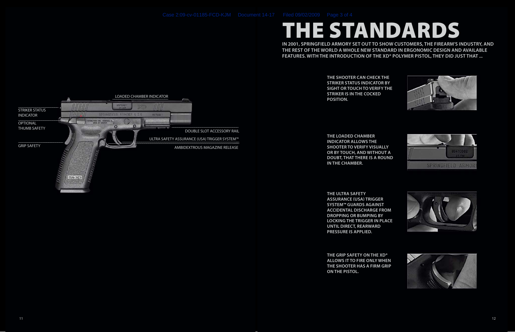**the shooter can check the striker status indicator by sight or touch to verify the striker is in the cocked position.**

**the loaded chamber indicator allows the shooter to verify visually or by touch, and without a doubt, that there is a round in the chamber.**

**the ultra safety assurance (usa) trigger system™ guards against accidental discharge from dropping or bumping by locking the trigger in place until direct, rearward pressure is applied.** 

**The grip safety on the XD® allows it to fire only when the shooter has a firm grip on the pistol.**











**In 2001, Springfield Armory set out to show customers, the firearm's industry, and the rest of the world a whole new standard in ergonomic design and available features. With the introduction of the XD® polymer pistol, they did just that ...**

# THE standards